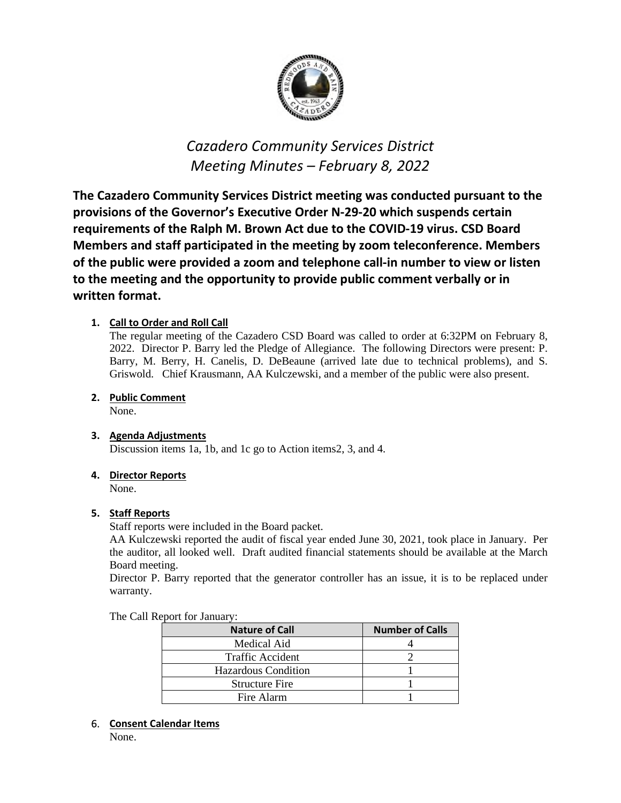

# *Cazadero Community Services District Meeting Minutes – February 8, 2022*

**The Cazadero Community Services District meeting was conducted pursuant to the provisions of the Governor's Executive Order N-29-20 which suspends certain requirements of the Ralph M. Brown Act due to the COVID-19 virus. CSD Board Members and staff participated in the meeting by zoom teleconference. Members of the public were provided a zoom and telephone call-in number to view or listen to the meeting and the opportunity to provide public comment verbally or in written format.**

# **1. Call to Order and Roll Call**

The regular meeting of the Cazadero CSD Board was called to order at 6:32PM on February 8, 2022. Director P. Barry led the Pledge of Allegiance. The following Directors were present: P. Barry, M. Berry, H. Canelis, D. DeBeaune (arrived late due to technical problems), and S. Griswold. Chief Krausmann, AA Kulczewski, and a member of the public were also present.

## **2. Public Comment**

None.

## **3. Agenda Adjustments**

Discussion items 1a, 1b, and 1c go to Action items2, 3, and 4.

## **4. Director Reports**

None.

## **5. Staff Reports**

Staff reports were included in the Board packet.

AA Kulczewski reported the audit of fiscal year ended June 30, 2021, took place in January. Per the auditor, all looked well. Draft audited financial statements should be available at the March Board meeting.

Director P. Barry reported that the generator controller has an issue, it is to be replaced under warranty.

The Call Report for January:

| <b>Nature of Call</b>      | <b>Number of Calls</b> |
|----------------------------|------------------------|
| Medical Aid                |                        |
| <b>Traffic Accident</b>    |                        |
| <b>Hazardous Condition</b> |                        |
| <b>Structure Fire</b>      |                        |
| Fire Alarm                 |                        |

#### 6. **Consent Calendar Items**

None.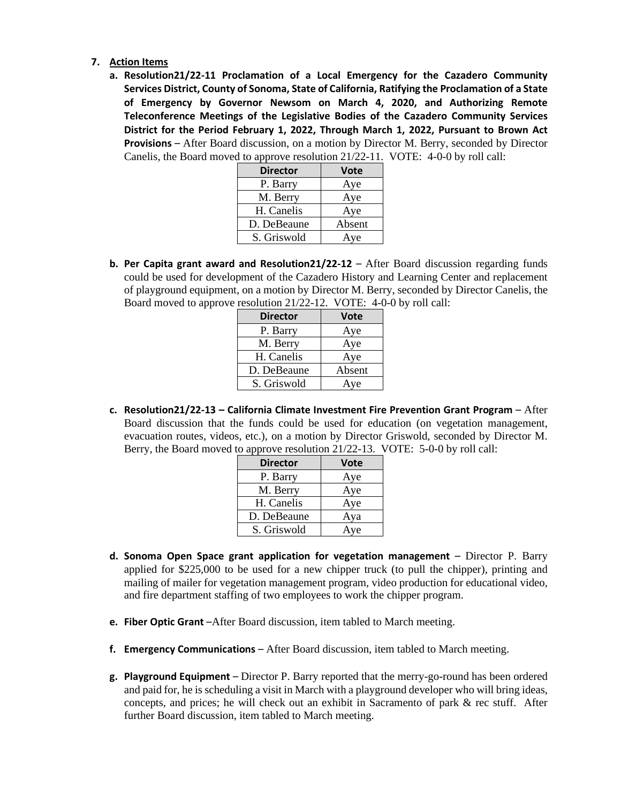- **7. Action Items** 
	- **a. Resolution21/22-11 Proclamation of a Local Emergency for the Cazadero Community Services District, County of Sonoma, State of California, Ratifying the Proclamation of a State of Emergency by Governor Newsom on March 4, 2020, and Authorizing Remote Teleconference Meetings of the Legislative Bodies of the Cazadero Community Services District for the Period February 1, 2022, Through March 1, 2022, Pursuant to Brown Act Provisions** – After Board discussion, on a motion by Director M. Berry, seconded by Director Canelis, the Board moved to approve resolution 21/22-11. VOTE: 4-0-0 by roll call:

| <b>Director</b> | <b>Vote</b> |
|-----------------|-------------|
| P. Barry        | Aye         |
| M. Berry        | Aye         |
| H. Canelis      | Aye         |
| D. DeBeaune     | Absent      |
| S. Griswold     | Aye         |

**b.** Per Capita grant award and Resolution21/22-12 – After Board discussion regarding funds could be used for development of the Cazadero History and Learning Center and replacement of playground equipment, on a motion by Director M. Berry, seconded by Director Canelis, the Board moved to approve resolution 21/22-12. VOTE: 4-0-0 by roll call:

| <b>Director</b> | <b>Vote</b> |
|-----------------|-------------|
| P. Barry        | Aye         |
| M. Berry        | Aye         |
| H. Canelis      | Aye         |
| D. DeBeaune     | Absent      |
| S. Griswold     | Ave         |

**c. Resolution21/22-13 – California Climate Investment Fire Prevention Grant Program – After** Board discussion that the funds could be used for education (on vegetation management, evacuation routes, videos, etc.), on a motion by Director Griswold, seconded by Director M. Berry, the Board moved to approve resolution 21/22-13. VOTE: 5-0-0 by roll call:

| <b>Director</b> | <b>Vote</b> |
|-----------------|-------------|
| P. Barry        | Aye         |
| M. Berry        | Aye         |
| H. Canelis      | Aye         |
| D. DeBeaune     | Aya         |
| S. Griswold     | Aye         |

- **d. Sonoma Open Space grant application for vegetation management**  Director P. Barry applied for \$225,000 to be used for a new chipper truck (to pull the chipper), printing and mailing of mailer for vegetation management program, video production for educational video, and fire department staffing of two employees to work the chipper program.
- **e. Fiber Optic Grant** –After Board discussion, item tabled to March meeting.
- **f. Emergency Communications**  After Board discussion, item tabled to March meeting.
- **g. Playground Equipment**  Director P. Barry reported that the merry-go-round has been ordered and paid for, he is scheduling a visit in March with a playground developer who will bring ideas, concepts, and prices; he will check out an exhibit in Sacramento of park & rec stuff. After further Board discussion, item tabled to March meeting.